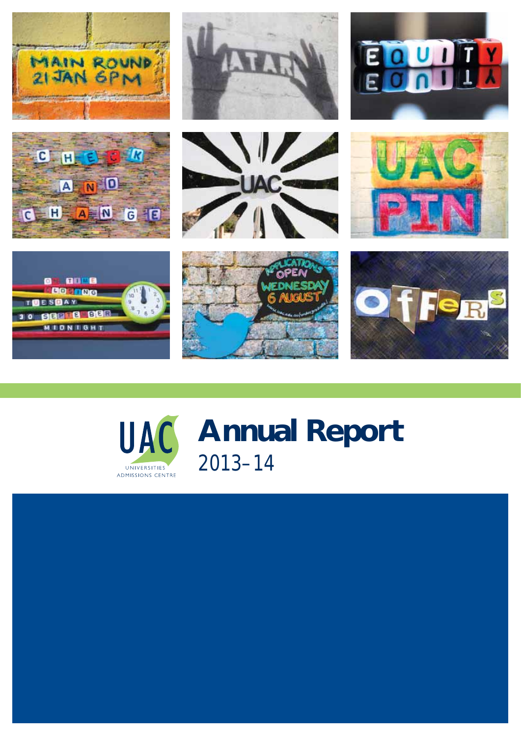



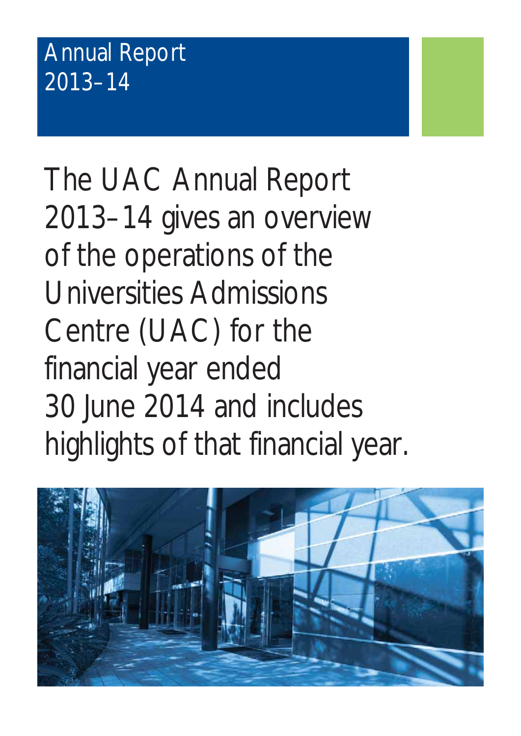# Annual Report 2013–14

The UAC Annual Report 2013–14 gives an overview of the operations of the Universities Admissions Centre (UAC) for the financial year ended 30 June 2014 and includes highlights of that financial year.

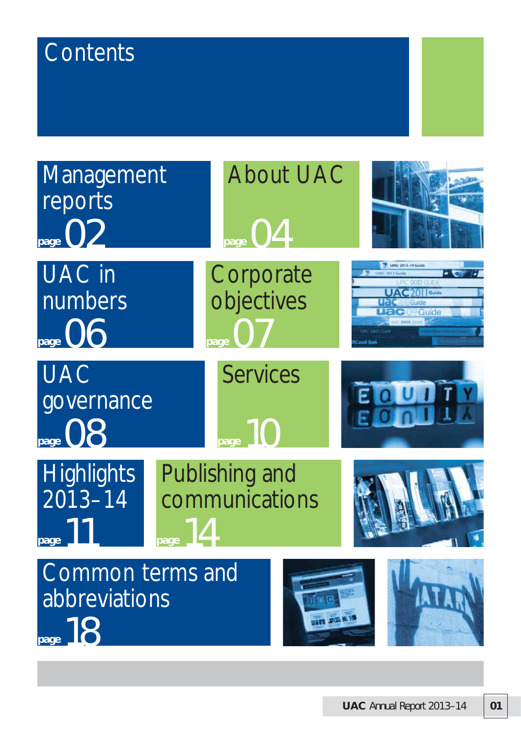# **Contents**

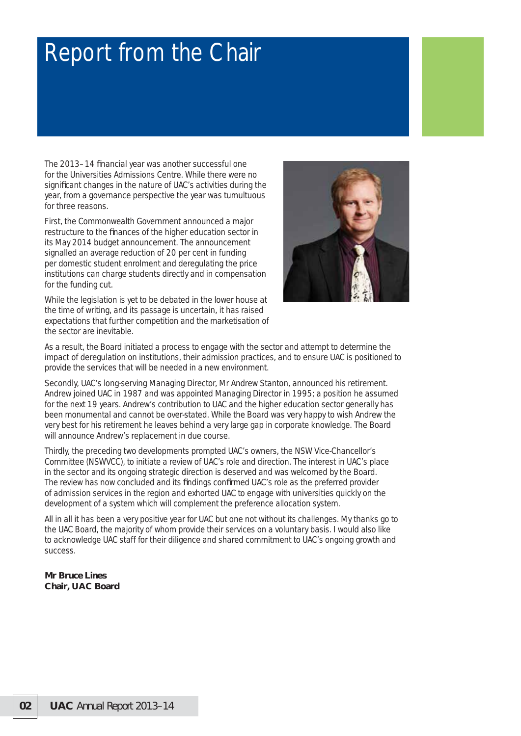# Report from the Chair

The 2013–14 financial year was another successful one for the Universities Admissions Centre. While there were no significant changes in the nature of UAC's activities during the year, from a governance perspective the year was tumultuous for three reasons.

First, the Commonwealth Government announced a major restructure to the finances of the higher education sector in its May 2014 budget announcement. The announcement signalled an average reduction of 20 per cent in funding per domestic student enrolment and deregulating the price institutions can charge students directly and in compensation for the funding cut.

While the legislation is yet to be debated in the lower house at the time of writing, and its passage is uncertain, it has raised expectations that further competition and the marketisation of the sector are inevitable.



As a result, the Board initiated a process to engage with the sector and attempt to determine the impact of deregulation on institutions, their admission practices, and to ensure UAC is positioned to provide the services that will be needed in a new environment.

Secondly, UAC's long-serving Managing Director, Mr Andrew Stanton, announced his retirement. Andrew joined UAC in 1987 and was appointed Managing Director in 1995; a position he assumed for the next 19 years. Andrew's contribution to UAC and the higher education sector generally has been monumental and cannot be over-stated. While the Board was very happy to wish Andrew the very best for his retirement he leaves behind a very large gap in corporate knowledge. The Board will announce Andrew's replacement in due course.

Thirdly, the preceding two developments prompted UAC's owners, the NSW Vice-Chancellor's Committee (NSWVCC), to initiate a review of UAC's role and direction. The interest in UAC's place in the sector and its ongoing strategic direction is deserved and was welcomed by the Board. The review has now concluded and its findings confirmed UAC's role as the preferred provider of admission services in the region and exhorted UAC to engage with universities quickly on the development of a system which will complement the preference allocation system.

All in all it has been a very positive year for UAC but one not without its challenges. My thanks go to the UAC Board, the majority of whom provide their services on a voluntary basis. I would also like to acknowledge UAC staff for their diligence and shared commitment to UAC's ongoing growth and success.

**Mr Bruce Lines Chair, UAC Board**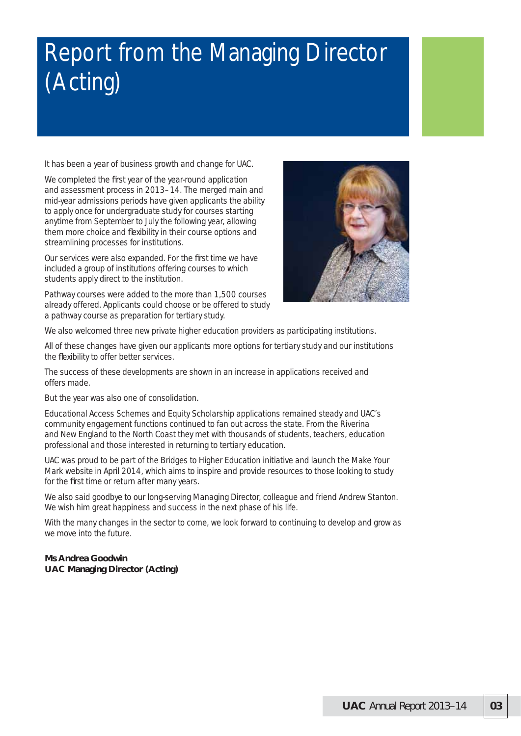# Report from the Managing Director (Acting)

It has been a year of business growth and change for UAC.

We completed the first year of the year-round application and assessment process in 2013–14. The merged main and mid-year admissions periods have given applicants the ability to apply once for undergraduate study for courses starting anytime from September to July the following year, allowing them more choice and flexibility in their course options and streamlining processes for institutions.

Our services were also expanded. For the first time we have included a group of institutions offering courses to which students apply direct to the institution.

Pathway courses were added to the more than 1,500 courses already offered. Applicants could choose or be offered to study a pathway course as preparation for tertiary study.



We also welcomed three new private higher education providers as participating institutions.

All of these changes have given our applicants more options for tertiary study and our institutions the flexibility to offer better services.

The success of these developments are shown in an increase in applications received and offers made.

But the year was also one of consolidation.

Educational Access Schemes and Equity Scholarship applications remained steady and UAC's community engagement functions continued to fan out across the state. From the Riverina and New England to the North Coast they met with thousands of students, teachers, education professional and those interested in returning to tertiary education.

UAC was proud to be part of the Bridges to Higher Education initiative and launch the Make Your Mark website in April 2014, which aims to inspire and provide resources to those looking to study for the first time or return after many years.

We also said goodbye to our long-serving Managing Director, colleague and friend Andrew Stanton. We wish him great happiness and success in the next phase of his life.

With the many changes in the sector to come, we look forward to continuing to develop and grow as we move into the future.

#### **Ms Andrea Goodwin UAC Managing Director (Acting)**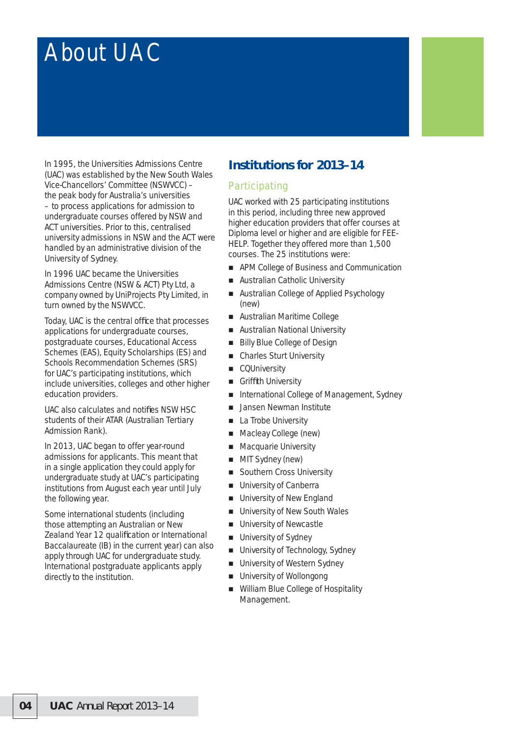# About UAC

In 1995, the Universities Admissions Centre (UAC) was established by the New South Wales Vice-Chancellors' Committee (NSWVCC) – the peak body for Australia's universities – to process applications for admission to undergraduate courses offered by NSW and ACT universities. Prior to this, centralised university admissions in NSW and the ACT were handled by an administrative division of the University of Sydney.

In 1996 UAC became the Universities Admissions Centre (NSW & ACT) Pty Ltd, a company owned by UniProjects Pty Limited, in turn owned by the NSWVCC.

Today, UAC is the central office that processes applications for undergraduate courses, postgraduate courses, Educational Access Schemes (EAS), Equity Scholarships (ES) and Schools Recommendation Schemes (SRS) for UAC's participating institutions, which include universities, colleges and other higher education providers.

UAC also calculates and notifies NSW HSC students of their ATAR (Australian Tertiary Admission Rank).

In 2013, UAC began to offer year-round admissions for applicants. This meant that in a single application they could apply for undergraduate study at UAC's participating institutions from August each year until July the following year.

Some international students (including those attempting an Australian or New Zealand Year 12 qualification or International Baccalaureate (IB) in the current year) can also apply through UAC for undergraduate study. International postgraduate applicants apply directly to the institution.

## **Institutions for 2013–14**

### **Participating**

UAC worked with 25 participating institutions in this period, including three new approved higher education providers that offer courses at Diploma level or higher and are eligible for FEE-HELP. Together they offered more than 1,500 courses. The 25 institutions were:

- APM College of Business and Communication
- **Australian Catholic University**
- Australian College of Applied Psychology (new)
- Australian Maritime College
- **Australian National University**
- Billy Blue College of Design
- Charles Sturt University
- CQUniversity
- Griffith University
- International College of Management, Sydney
- **Jansen Newman Institute**
- La Trobe University
- Macleay College (new)
- **Macquarie University**
- **MIT Sydney (new)**
- Southern Cross University
- **University of Canberra**
- **University of New England**
- University of New South Wales
- University of Newcastle
- **University of Sydney**
- **University of Technology, Sydney**
- University of Western Sydney
- University of Wollongong
- William Blue College of Hospitality Management.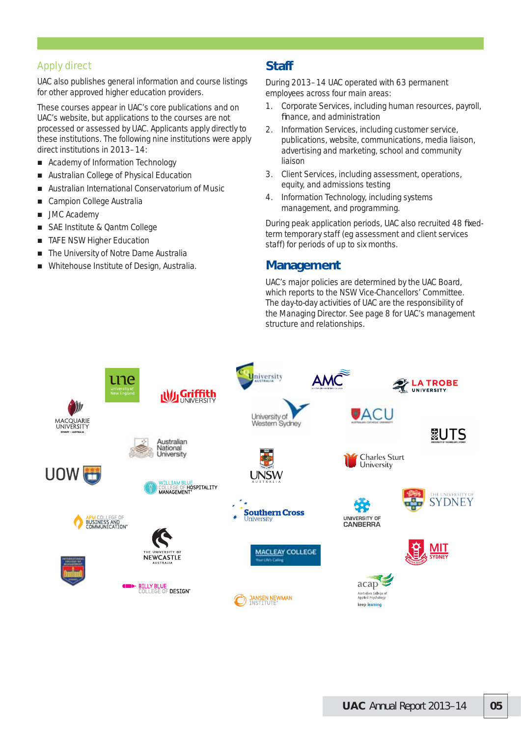### Apply direct

UAC also publishes general information and course listings for other approved higher education providers.

These courses appear in UAC's core publications and on UAC's website, but applications to the courses are not processed or assessed by UAC. Applicants apply directly to these institutions. The following nine institutions were apply direct institutions in 2013–14:

- Academy of Information Technology
- Australian College of Physical Education
- Australian International Conservatorium of Music
- Campion College Australia
- **JMC Academy**
- SAE Institute & Qantm College
- **TAFE NSW Higher Education**
- The University of Notre Dame Australia
- Whitehouse Institute of Design, Australia.

### **Staff**

During 2013–14 UAC operated with 63 permanent employees across four main areas:

- 1. Corporate Services, including human resources, payroll, finance, and administration
- 2. Information Services, including customer service, publications, website, communications, media liaison, advertising and marketing, school and community liaison
- 3. Client Services, including assessment, operations, equity, and admissions testing
- 4. Information Technology, including systems management, and programming.

During peak application periods, UAC also recruited 48 fixedterm temporary staff (eg assessment and client services staff) for periods of up to six months.

### **Management**

UAC's major policies are determined by the UAC Board, which reports to the NSW Vice-Chancellors' Committee. The day-to-day activities of UAC are the responsibility of the Managing Director. See page 8 for UAC's management structure and relationships.

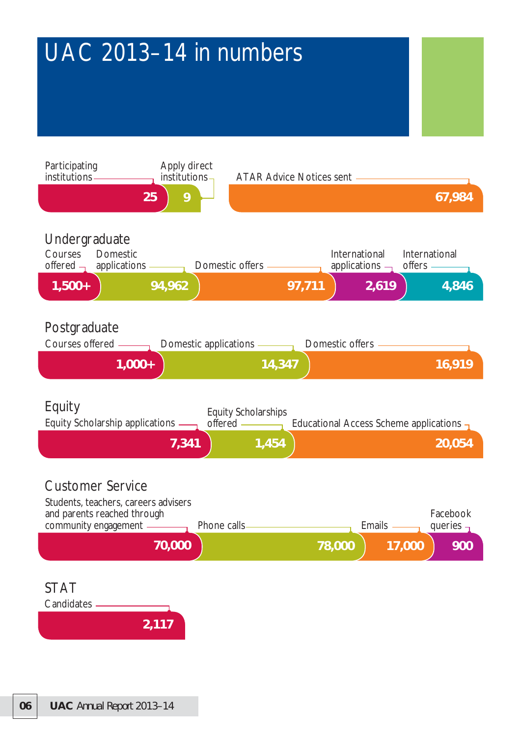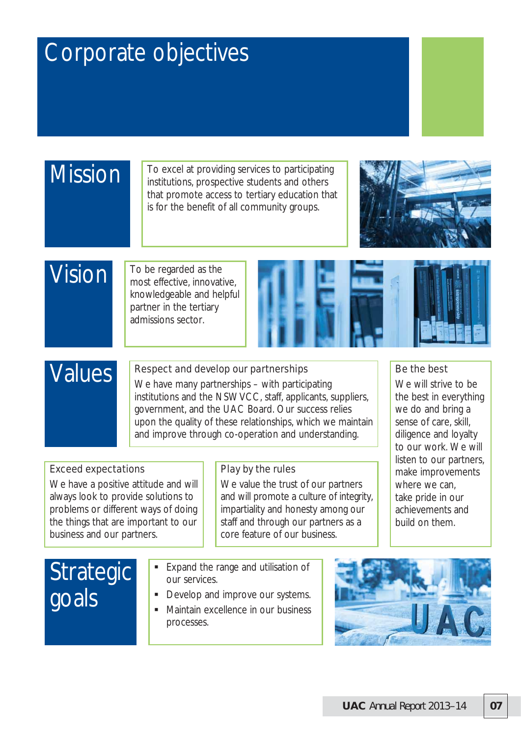# Corporate objectives

# Mission

To excel at providing services to participating institutions, prospective students and others that promote access to tertiary education that is for the benefit of all community groups.



Be the best

We will strive to be the best in everything we do and bring a sense of care, skill, diligence and loyalty to our work. We will listen to our partners, make improvements where we can. take pride in our achievements and build on them.

# Vision

To be regarded as the most effective, innovative, knowledgeable and helpful partner in the tertiary admissions sector.



# Values

### Respect and develop our partnerships

We have many partnerships – with participating institutions and the NSWVCC, staff, applicants, suppliers, government, and the UAC Board. Our success relies upon the quality of these relationships, which we maintain and improve through co-operation and understanding.

## Exceed expectations

We have a positive attitude and will always look to provide solutions to problems or different ways of doing the things that are important to our business and our partners.

### Play by the rules

We value the trust of our partners and will promote a culture of integrity, impartiality and honesty among our staff and through our partners as a core feature of our business.

# **Strategic** goals

- **Expand the range and utilisation of** our services.
- Develop and improve our systems.
- Maintain excellence in our business processes.

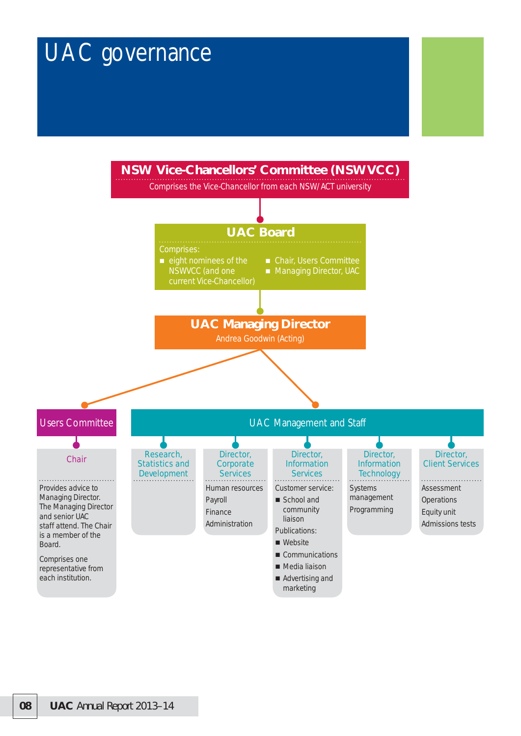# UAC governance

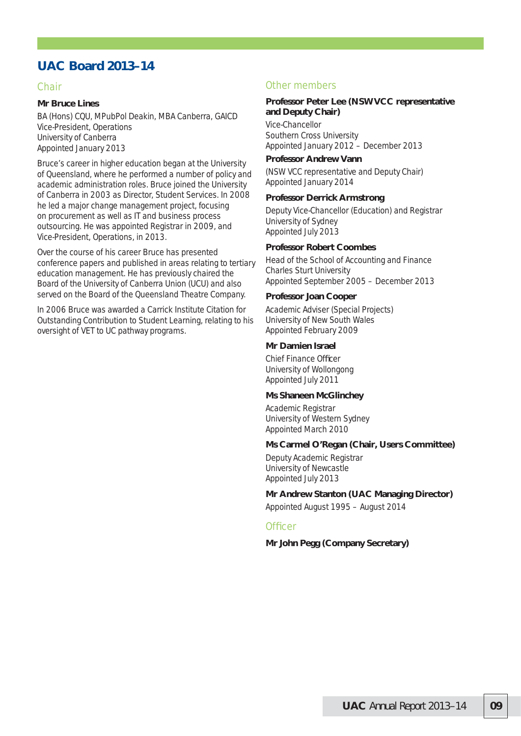## **UAC Board 2013–14**

#### Chair

#### **Mr Bruce Lines**

BA (Hons) CQU, MPubPol Deakin, MBA Canberra, GAICD Vice-President, Operations University of Canberra Appointed January 2013

Bruce's career in higher education began at the University of Queensland, where he performed a number of policy and academic administration roles. Bruce joined the University of Canberra in 2003 as Director, Student Services. In 2008 he led a major change management project, focusing on procurement as well as IT and business process outsourcing. He was appointed Registrar in 2009, and Vice-President, Operations, in 2013.

Over the course of his career Bruce has presented conference papers and published in areas relating to tertiary education management. He has previously chaired the Board of the University of Canberra Union (UCU) and also served on the Board of the Queensland Theatre Company.

In 2006 Bruce was awarded a Carrick Institute Citation for Outstanding Contribution to Student Learning, relating to his oversight of VET to UC pathway programs.

#### Other members

#### **Professor Peter Lee (NSWVCC representative and Deputy Chair)**

Vice-Chancellor Southern Cross University Appointed January 2012 – December 2013

#### **Professor Andrew Vann**

(NSW VCC representative and Deputy Chair) Appointed January 2014

#### **Professor Derrick Armstrong**

Deputy Vice-Chancellor (Education) and Registrar University of Sydney Appointed July 2013

#### **Professor Robert Coombes**

Head of the School of Accounting and Finance Charles Sturt University Appointed September 2005 – December 2013

#### **Professor Joan Cooper**

Academic Adviser (Special Projects) University of New South Wales Appointed February 2009

#### **Mr Damien Israel**

Chief Finance Officer University of Wollongong Appointed July 2011

#### **Ms Shaneen McGlinchey**

Academic Registrar University of Western Sydney Appointed March 2010

#### **Ms Carmel O'Regan (Chair, Users Committee)**

Deputy Academic Registrar University of Newcastle Appointed July 2013

#### **Mr Andrew Stanton (UAC Managing Director)**

Appointed August 1995 – August 2014

#### **Officer**

**Mr John Pegg (Company Secretary)**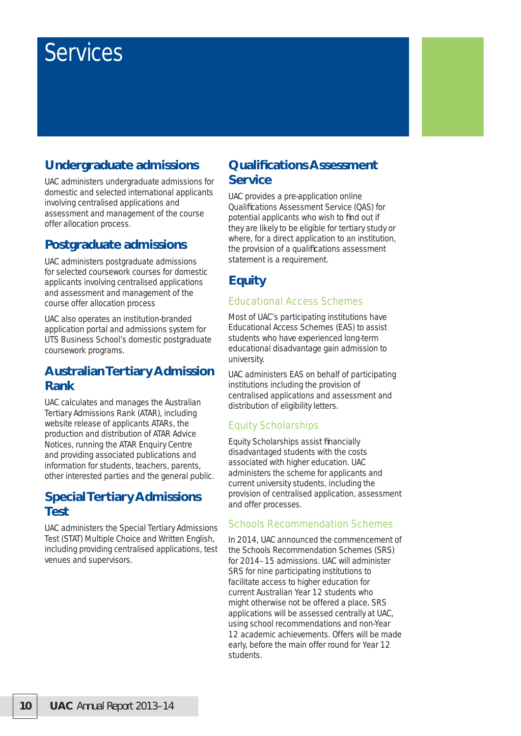# Services

# **Undergraduate admissions**

UAC administers undergraduate admissions for domestic and selected international applicants involving centralised applications and assessment and management of the course offer allocation process.

## **Postgraduate admissions**

UAC administers postgraduate admissions for selected coursework courses for domestic applicants involving centralised applications and assessment and management of the course offer allocation process

UAC also operates an institution-branded application portal and admissions system for UTS Business School's domestic postgraduate coursework programs.

## **Australian Tertiary Admission Rank**

UAC calculates and manages the Australian Tertiary Admissions Rank (ATAR), including website release of applicants ATARs, the production and distribution of ATAR Advice Notices, running the ATAR Enquiry Centre and providing associated publications and information for students, teachers, parents, other interested parties and the general public.

## **Special Tertiary Admissions Test**

UAC administers the Special Tertiary Admissions Test (STAT) Multiple Choice and Written English, including providing centralised applications, test venues and supervisors.

## **Qualifi cations Assessment Service**

UAC provides a pre-application online Qualifications Assessment Service (QAS) for potential applicants who wish to find out if they are likely to be eligible for tertiary study or where, for a direct application to an institution, the provision of a qualifications assessment statement is a requirement.

# **Equity**

### Educational Access Schemes

Most of UAC's participating institutions have Educational Access Schemes (EAS) to assist students who have experienced long-term educational disadvantage gain admission to university.

UAC administers EAS on behalf of participating institutions including the provision of centralised applications and assessment and distribution of eligibility letters.

### Equity Scholarships

Equity Scholarships assist financially disadvantaged students with the costs associated with higher education. UAC administers the scheme for applicants and current university students, including the provision of centralised application, assessment and offer processes.

### Schools Recommendation Schemes

In 2014, UAC announced the commencement of the Schools Recommendation Schemes (SRS) for 2014–15 admissions. UAC will administer SRS for nine participating institutions to facilitate access to higher education for current Australian Year 12 students who might otherwise not be offered a place. SRS applications will be assessed centrally at UAC, using school recommendations and non-Year 12 academic achievements. Offers will be made early, before the main offer round for Year 12 students.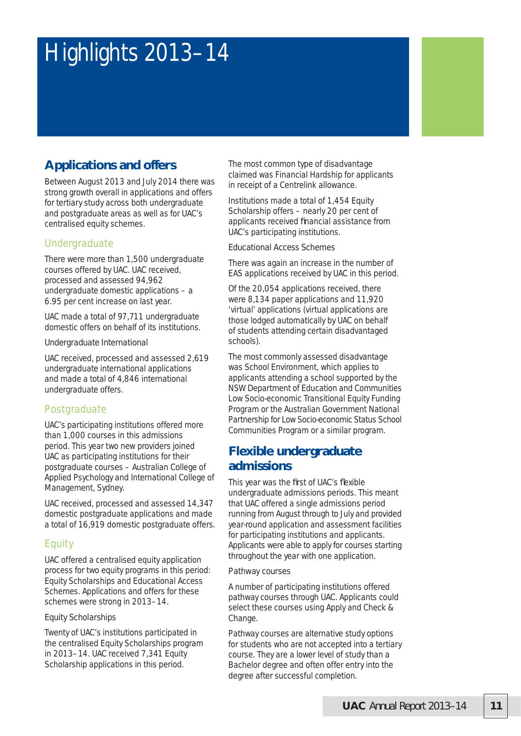# Highlights 2013–14

# **Applications and offers**

Between August 2013 and July 2014 there was strong growth overall in applications and offers for tertiary study across both undergraduate and postgraduate areas as well as for UAC's centralised equity schemes.

### Undergraduate

There were more than 1,500 undergraduate courses offered by UAC. UAC received, processed and assessed 94,962 undergraduate domestic applications – a 6.95 per cent increase on last year.

UAC made a total of 97,711 undergraduate domestic offers on behalf of its institutions.

#### *Undergraduate International*

UAC received, processed and assessed 2,619 undergraduate international applications and made a total of 4,846 international undergraduate offers.

### Postgraduate

UAC's participating institutions offered more than 1,000 courses in this admissions period. This year two new providers joined UAC as participating institutions for their postgraduate courses – Australian College of Applied Psychology and International College of Management, Sydney.

UAC received, processed and assessed 14,347 domestic postgraduate applications and made a total of 16,919 domestic postgraduate offers.

### **Equity**

UAC offered a centralised equity application process for two equity programs in this period: Equity Scholarships and Educational Access Schemes. Applications and offers for these schemes were strong in 2013–14.

#### *Equity Scholarships*

Twenty of UAC's institutions participated in the centralised Equity Scholarships program in 2013–14. UAC received 7,341 Equity Scholarship applications in this period.

The most common type of disadvantage claimed was Financial Hardship for applicants in receipt of a Centrelink allowance.

Institutions made a total of 1,454 Equity Scholarship offers – nearly 20 per cent of applicants received financial assistance from UAC's participating institutions.

#### *Educational Access Schemes*

There was again an increase in the number of EAS applications received by UAC in this period.

Of the 20,054 applications received, there were 8,134 paper applications and 11,920 'virtual' applications (virtual applications are those lodged automatically by UAC on behalf of students attending certain disadvantaged schools).

The most commonly assessed disadvantage was School Environment, which applies to applicants attending a school supported by the NSW Department of Education and Communities Low Socio-economic Transitional Equity Funding Program or the Australian Government National Partnership for Low Socio-economic Status School Communities Program or a similar program.

## **Flexible undergraduate admissions**

This year was the first of UAC's flexible undergraduate admissions periods. This meant that UAC offered a single admissions period running from August through to July and provided year-round application and assessment facilities for participating institutions and applicants. Applicants were able to apply for courses starting throughout the year with one application.

#### *Pathway courses*

A number of participating institutions offered pathway courses through UAC. Applicants could select these courses using Apply and Check & Change.

Pathway courses are alternative study options for students who are not accepted into a tertiary course. They are a lower level of study than a Bachelor degree and often offer entry into the degree after successful completion.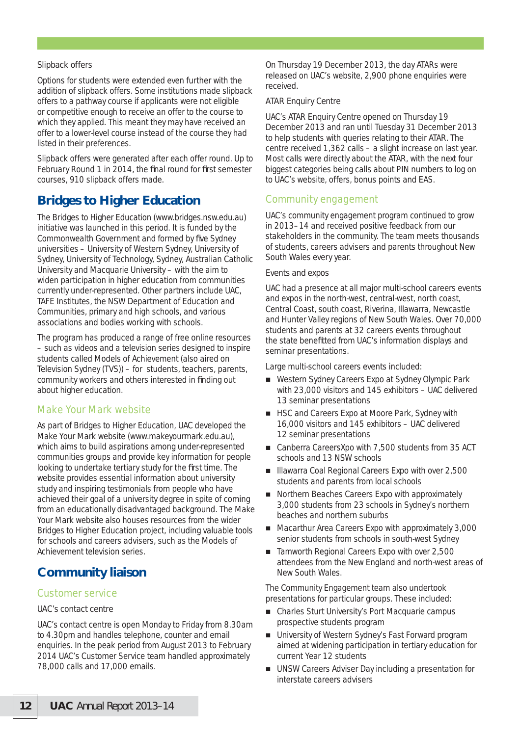#### *Slipback offers*

Options for students were extended even further with the addition of slipback offers. Some institutions made slipback offers to a pathway course if applicants were not eligible or competitive enough to receive an offer to the course to which they applied. This meant they may have received an offer to a lower-level course instead of the course they had listed in their preferences.

Slipback offers were generated after each offer round. Up to February Round 1 in 2014, the final round for first semester courses, 910 slipback offers made.

## **Bridges to Higher Education**

The Bridges to Higher Education (www.bridges.nsw.edu.au) initiative was launched in this period. It is funded by the Commonwealth Government and formed by five Sydney universities – University of Western Sydney, University of Sydney, University of Technology, Sydney, Australian Catholic University and Macquarie University – with the aim to widen participation in higher education from communities currently under-represented. Other partners include UAC, TAFE Institutes, the NSW Department of Education and Communities, primary and high schools, and various associations and bodies working with schools.

The program has produced a range of free online resources – such as videos and a television series designed to inspire students called Models of Achievement (also aired on Television Sydney (TVS)) – for students, teachers, parents, community workers and others interested in finding out about higher education.

### Make Your Mark website

As part of Bridges to Higher Education, UAC developed the Make Your Mark website (www.makeyourmark.edu.au), which aims to build aspirations among under-represented communities groups and provide key information for people looking to undertake tertiary study for the first time. The website provides essential information about university study and inspiring testimonials from people who have achieved their goal of a university degree in spite of coming from an educationally disadvantaged background. The Make Your Mark website also houses resources from the wider Bridges to Higher Education project, including valuable tools for schools and careers advisers, such as the Models of Achievement television series.

## **Community liaison**

#### Customer service

#### *UAC's contact centre*

UAC's contact centre is open Monday to Friday from 8.30am to 4.30pm and handles telephone, counter and email enquiries. In the peak period from August 2013 to February 2014 UAC's Customer Service team handled approximately 78,000 calls and 17,000 emails.

On Thursday 19 December 2013, the day ATARs were released on UAC's website, 2,900 phone enquiries were received.

#### *ATAR Enquiry Centre*

UAC's ATAR Enquiry Centre opened on Thursday 19 December 2013 and ran until Tuesday 31 December 2013 to help students with queries relating to their ATAR. The centre received 1,362 calls – a slight increase on last year. Most calls were directly about the ATAR, with the next four biggest categories being calls about PIN numbers to log on to UAC's website, offers, bonus points and EAS.

#### Community engagement

UAC's community engagement program continued to grow in 2013–14 and received positive feedback from our stakeholders in the community. The team meets thousands of students, careers advisers and parents throughout New South Wales every year.

#### *Events and expos*

UAC had a presence at all major multi-school careers events and expos in the north-west, central-west, north coast, Central Coast, south coast, Riverina, Illawarra, Newcastle and Hunter Valley regions of New South Wales. Over 70,000 students and parents at 32 careers events throughout the state benefitted from UAC's information displays and seminar presentations.

Large multi-school careers events included:

- Western Sydney Careers Expo at Sydney Olympic Park with 23,000 visitors and 145 exhibitors – UAC delivered 13 seminar presentations
- HSC and Careers Expo at Moore Park, Sydney with 16,000 visitors and 145 exhibitors – UAC delivered 12 seminar presentations
- Canberra CareersXpo with 7,500 students from 35 ACT schools and 13 NSW schools
- Illawarra Coal Regional Careers Expo with over 2,500 students and parents from local schools
- Northern Beaches Careers Expo with approximately 3,000 students from 23 schools in Sydney's northern beaches and northern suburbs
- Macarthur Area Careers Expo with approximately 3,000 senior students from schools in south-west Sydney
- Tamworth Regional Careers Expo with over 2,500 attendees from the New England and north-west areas of New South Wales.

The Community Engagement team also undertook presentations for particular groups. These included:

- Charles Sturt University's Port Macquarie campus prospective students program
- **University of Western Sydney's Fast Forward program** aimed at widening participation in tertiary education for current Year 12 students
- UNSW Careers Adviser Day including a presentation for interstate careers advisers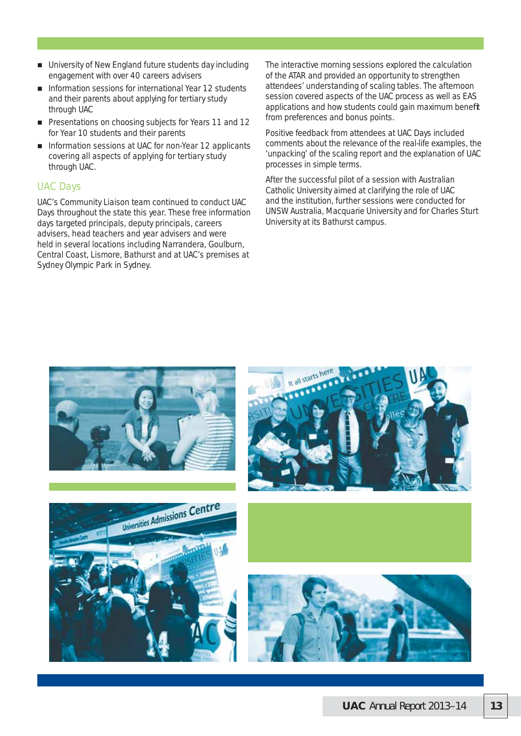- University of New England future students day including engagement with over 40 careers advisers
- Information sessions for international Year 12 students and their parents about applying for tertiary study through UAC
- **Presentations on choosing subjects for Years 11 and 12** for Year 10 students and their parents
- Information sessions at UAC for non-Year 12 applicants covering all aspects of applying for tertiary study through UAC.

#### UAC Days

UAC's Community Liaison team continued to conduct UAC Days throughout the state this year. These free information days targeted principals, deputy principals, careers advisers, head teachers and year advisers and were held in several locations including Narrandera, Goulburn, Central Coast, Lismore, Bathurst and at UAC's premises at Sydney Olympic Park in Sydney.

The interactive morning sessions explored the calculation of the ATAR and provided an opportunity to strengthen attendees' understanding of scaling tables. The afternoon session covered aspects of the UAC process as well as EAS applications and how students could gain maximum benefit from preferences and bonus points.

Positive feedback from attendees at UAC Days included comments about the relevance of the real-life examples, the 'unpacking' of the scaling report and the explanation of UAC processes in simple terms.

After the successful pilot of a session with Australian Catholic University aimed at clarifying the role of UAC and the institution, further sessions were conducted for UNSW Australia, Macquarie University and for Charles Sturt University at its Bathurst campus.

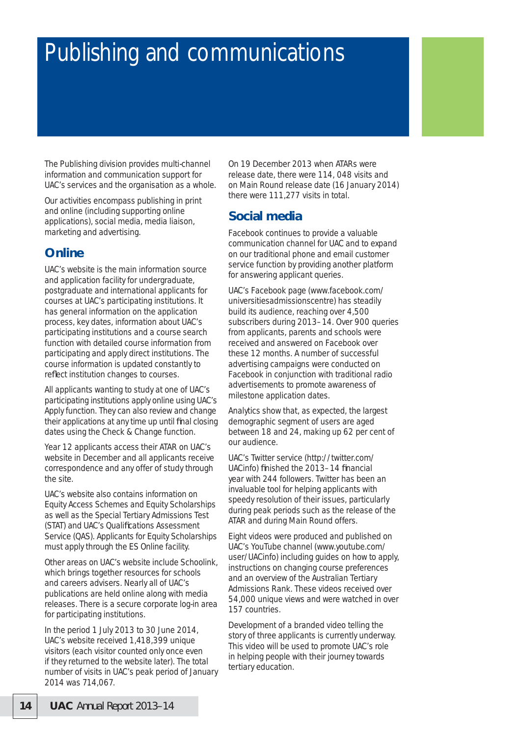# Publishing and communications

The Publishing division provides multi-channel information and communication support for UAC's services and the organisation as a whole.

Our activities encompass publishing in print and online (including supporting online applications), social media, media liaison, marketing and advertising.

# **Online**

UAC's website is the main information source and application facility for undergraduate, postgraduate and international applicants for courses at UAC's participating institutions. It has general information on the application process, key dates, information about UAC's participating institutions and a course search function with detailed course information from participating and apply direct institutions. The course information is updated constantly to reflect institution changes to courses.

All applicants wanting to study at one of UAC's participating institutions apply online using UAC's Apply function. They can also review and change their applications at any time up until final closing dates using the Check & Change function.

Year 12 applicants access their ATAR on UAC's website in December and all applicants receive correspondence and any offer of study through the site.

UAC's website also contains information on Equity Access Schemes and Equity Scholarships as well as the Special Tertiary Admissions Test (STAT) and UAC's Qualifications Assessment Service (QAS). Applicants for Equity Scholarships must apply through the ES Online facility.

Other areas on UAC's website include Schoolink, which brings together resources for schools and careers advisers. Nearly all of UAC's publications are held online along with media releases. There is a secure corporate log-in area for participating institutions.

In the period 1 July 2013 to 30 June 2014, UAC's website received 1,418,399 unique visitors (each visitor counted only once even if they returned to the website later). The total number of visits in UAC's peak period of January 2014 was 714,067.

On 19 December 2013 when ATARs were release date, there were 114, 048 visits and on Main Round release date (16 January 2014) there were 111,277 visits in total.

# **Social media**

Facebook continues to provide a valuable communication channel for UAC and to expand on our traditional phone and email customer service function by providing another platform for answering applicant queries.

UAC's Facebook page (www.facebook.com/ universitiesadmissionscentre) has steadily build its audience, reaching over 4,500 subscribers during 2013–14. Over 900 queries from applicants, parents and schools were received and answered on Facebook over these 12 months. A number of successful advertising campaigns were conducted on Facebook in conjunction with traditional radio advertisements to promote awareness of milestone application dates.

Analytics show that, as expected, the largest demographic segment of users are aged between 18 and 24, making up 62 per cent of our audience.

UAC's Twitter service (http://twitter.com/ UACinfo) finished the 2013–14 financial year with 244 followers. Twitter has been an invaluable tool for helping applicants with speedy resolution of their issues, particularly during peak periods such as the release of the ATAR and during Main Round offers.

Eight videos were produced and published on UAC's YouTube channel (www.youtube.com/ user/UACinfo) including guides on how to apply, instructions on changing course preferences and an overview of the Australian Tertiary Admissions Rank. These videos received over 54,000 unique views and were watched in over 157 countries.

Development of a branded video telling the story of three applicants is currently underway. This video will be used to promote UAC's role in helping people with their journey towards tertiary education.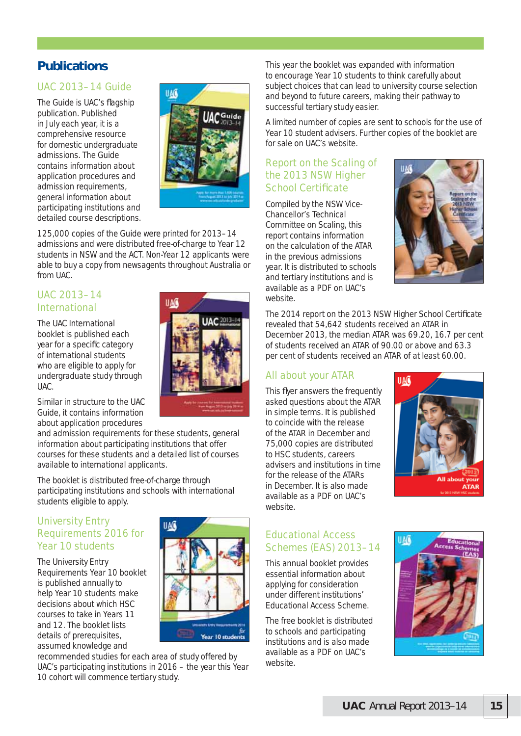# **Publications**

### UAC 2013–14 Guide

The Guide is UAC's flagship publication. Published in July each year, it is a comprehensive resource for domestic undergraduate admissions. The Guide contains information about application procedures and admission requirements, general information about participating institutions and detailed course descriptions.



125,000 copies of the Guide were printed for 2013–14 admissions and were distributed free-of-charge to Year 12 students in NSW and the ACT. Non-Year 12 applicants were able to buy a copy from newsagents throughout Australia or from UAC.

### UAC 2013–14 International

The UAC International booklet is published each year for a specific category of international students who are eligible to apply for undergraduate study through UAC.



Similar in structure to the UAC Guide, it contains information about application procedures

and admission requirements for these students, general information about participating institutions that offer courses for these students and a detailed list of courses available to international applicants.

The booklet is distributed free-of-charge through participating institutions and schools with international students eligible to apply.

### University Entry Requirements 2016 for Year 10 students

The University Entry Requirements Year 10 booklet is published annually to help Year 10 students make decisions about which HSC courses to take in Years 11 and 12. The booklet lists details of prerequisites. assumed knowledge and



recommended studies for each area of study offered by UAC's participating institutions in 2016 – the year this Year 10 cohort will commence tertiary study.

This year the booklet was expanded with information to encourage Year 10 students to think carefully about subject choices that can lead to university course selection and beyond to future careers, making their pathway to successful tertiary study easier.

A limited number of copies are sent to schools for the use of Year 10 student advisers. Further copies of the booklet are for sale on UAC's website.

### Report on the Scaling of the 2013 NSW Higher **School Certificate**

Compiled by the NSW Vice-Chancellor's Technical Committee on Scaling, this report contains information on the calculation of the ATAR in the previous admissions year. It is distributed to schools and tertiary institutions and is available as a PDF on UAC's website.



The 2014 report on the 2013 NSW Higher School Certificate revealed that 54,642 students received an ATAR in December 2013, the median ATAR was 69.20, 16.7 per cent of students received an ATAR of 90.00 or above and 63.3 per cent of students received an ATAR of at least 60.00.

### All about your ATAR

This flyer answers the frequently asked questions about the ATAR in simple terms. It is published to coincide with the release of the ATAR in December and 75,000 copies are distributed to HSC students, careers advisers and institutions in time for the release of the ATARs in December. It is also made available as a PDF on UAC's website.



#### Educational Access Schemes (EAS) 2013–14

This annual booklet provides essential information about applying for consideration under different institutions' Educational Access Scheme.

The free booklet is distributed to schools and participating institutions and is also made available as a PDF on UAC's website.

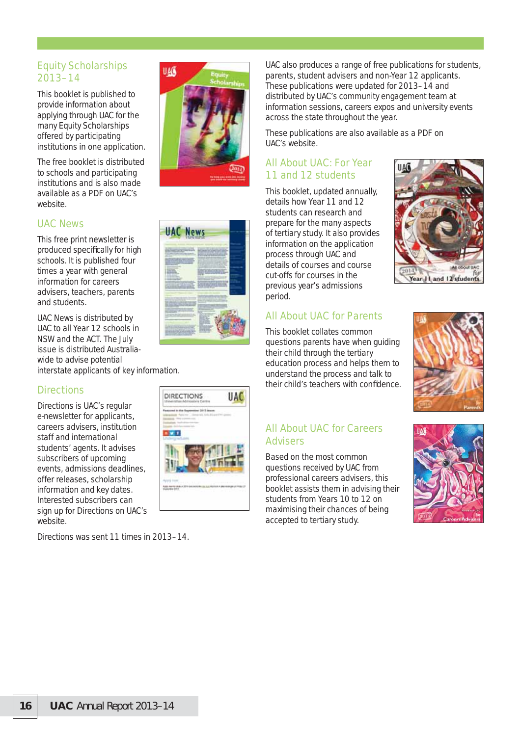### Equity Scholarships 2013–14

This booklet is published to provide information about applying through UAC for the many Equity Scholarships offered by participating institutions in one application.

The free booklet is distributed to schools and participating institutions and is also made available as a PDF on UAC's website.

#### UAC News

This free print newsletter is produced specifically for high schools. It is published four times a year with general information for careers advisers, teachers, parents and students.

*UAC News* is distributed by UAC to all Year 12 schools in NSW and the ACT. The July issue is distributed Australiawide to advise potential interstate applicants of key information.

### **Directions**

Directions is UAC's regular e-newsletter for applicants, careers advisers, institution staff and international students' agents. It advises subscribers of upcoming events, admissions deadlines, offer releases, scholarship information and key dates. Interested subscribers can sign up for Directions on UAC's website.

Directions was sent 11 times in 2013–14.





**UAC** 

DIRECTIONS

**Part** 

UAC also produces a range of free publications for students, parents, student advisers and non-Year 12 applicants. These publications were updated for 2013–14 and distributed by UAC's community engagement team at information sessions, careers expos and university events across the state throughout the year.

These publications are also available as a PDF on UAC's website.

### All About UAC: For Year 11 and 12 students

This booklet, updated annually, details how Year 11 and 12 students can research and prepare for the many aspects of tertiary study. It also provides information on the application process through UAC and details of courses and course cut-offs for courses in the previous year's admissions period.



This booklet collates common questions parents have when guiding their child through the tertiary education process and helps them to understand the process and talk to their child's teachers with confidence.





#### All About UAC for Careers Advisers

Based on the most common questions received by UAC from professional careers advisers, this booklet assists them in advising their students from Years 10 to 12 on maximising their chances of being accepted to tertiary study.

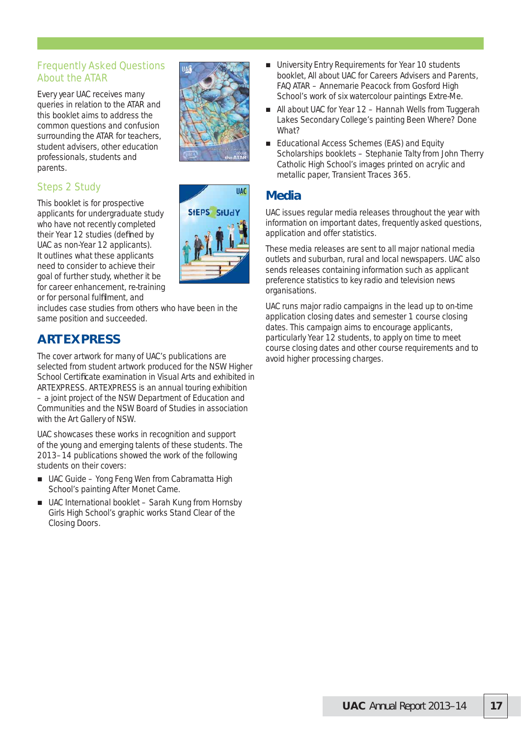### Frequently Asked Questions About the ATAR

Every year UAC receives many queries in relation to the ATAR and this booklet aims to address the common questions and confusion surrounding the ATAR for teachers, student advisers, other education professionals, students and parents.

## Steps 2 Study

This booklet is for prospective applicants for undergraduate study who have not recently completed their Year 12 studies (defined by UAC as non-Year 12 applicants). It outlines what these applicants need to consider to achieve their goal of further study, whether it be for career enhancement, re-training or for personal fulfilment, and

includes case studies from others who have been in the same position and succeeded.

# **ARTEXPRESS**

The cover artwork for many of UAC's publications are selected from student artwork produced for the NSW Higher School Certificate examination in Visual Arts and exhibited in ARTEXPRESS. ARTEXPRESS is an annual touring exhibition – a joint project of the NSW Department of Education and Communities and the NSW Board of Studies in association with the Art Gallery of NSW.

UAC showcases these works in recognition and support of the young and emerging talents of these students. The 2013–14 publications showed the work of the following students on their covers:

- UAC Guide Yong Feng Wen from Cabramatta High School's painting *After Monet Came*.
- UAC International booklet Sarah Kung from Hornsby Girls High School's graphic works *Stand Clear of the Closing Doors*.



- University Entry Requirements for Year 10 students booklet, All about UAC for Careers Advisers and Parents, FAQ ATAR – Annemarie Peacock from Gosford High School's work of six watercolour paintings *Extre-Me*.
- All about UAC for Year 12 Hannah Wells from Tuggerah Lakes Secondary College's painting *Been Where? Done What?*
- Educational Access Schemes (EAS) and Equity Scholarships booklets – Stephanie Talty from John Therry Catholic High School's images printed on acrylic and metallic paper, *Transient Traces 365*.

# **Media**

UAC issues regular media releases throughout the year with information on important dates, frequently asked questions, application and offer statistics.

These media releases are sent to all major national media outlets and suburban, rural and local newspapers. UAC also sends releases containing information such as applicant preference statistics to key radio and television news organisations.

UAC runs major radio campaigns in the lead up to on-time application closing dates and semester 1 course closing dates. This campaign aims to encourage applicants, particularly Year 12 students, to apply on time to meet course closing dates and other course requirements and to avoid higher processing charges.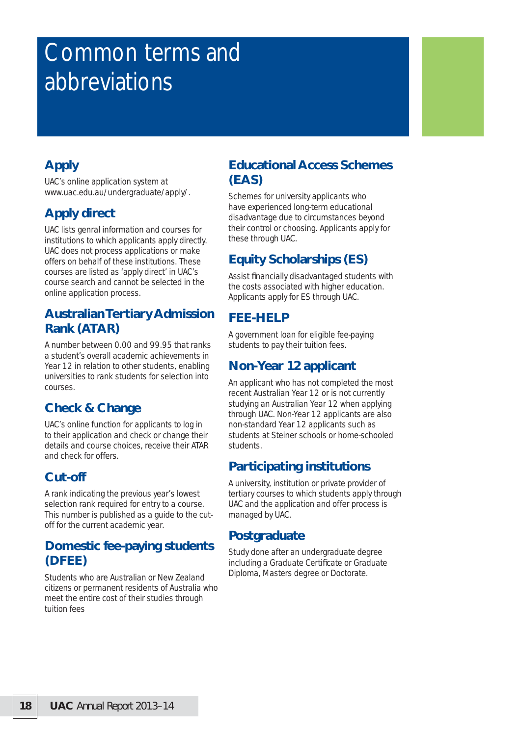# Common terms and abbreviations

# **Apply**

UAC's online application system at www.uac.edu.au/undergraduate/apply/.

# **Apply direct**

UAC lists genral information and courses for institutions to which applicants apply directly. UAC does not process applications or make offers on behalf of these institutions. These courses are listed as 'apply direct' in UAC's course search and cannot be selected in the online application process.

## **Australian Tertiary Admission Rank (ATAR)**

A number between 0.00 and 99.95 that ranks a student's overall academic achievements in Year 12 in relation to other students, enabling universities to rank students for selection into courses.

# **Check & Change**

UAC's online function for applicants to log in to their application and check or change their details and course choices, receive their ATAR and check for offers.

# **Cut-off**

A rank indicating the previous year's lowest selection rank required for entry to a course. This number is published as a guide to the cutoff for the current academic year.

# **Domestic fee-paying students (DFEE)**

Students who are Australian or New Zealand citizens or permanent residents of Australia who meet the entire cost of their studies through tuition fees

## **Educational Access Schemes (EAS)**

Schemes for university applicants who have experienced long-term educational disadvantage due to circumstances beyond their control or choosing. Applicants apply for these through UAC.

# **Equity Scholarships (ES)**

Assist financially disadvantaged students with the costs associated with higher education. Applicants apply for ES through UAC.

# **FEE-HELP**

A government loan for eligible fee-paying students to pay their tuition fees.

# **Non-Year 12 applicant**

An applicant who has not completed the most recent Australian Year 12 or is not currently studying an Australian Year 12 when applying through UAC. Non-Year 12 applicants are also non-standard Year 12 applicants such as students at Steiner schools or home-schooled students.

# **Participating institutions**

A university, institution or private provider of tertiary courses to which students apply through UAC and the application and offer process is managed by UAC.

## **Postgraduate**

Study done after an undergraduate degree including a Graduate Certificate or Graduate Diploma, Masters degree or Doctorate.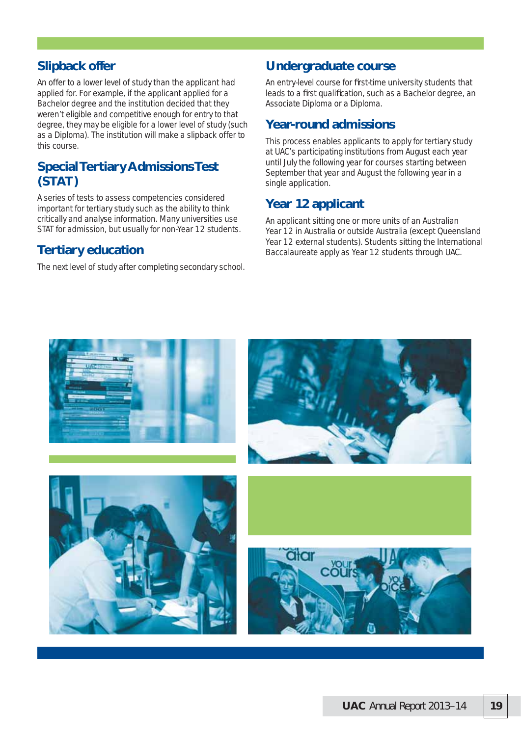## **Slipback offer**

An offer to a lower level of study than the applicant had applied for. For example, if the applicant applied for a Bachelor degree and the institution decided that they weren't eligible and competitive enough for entry to that degree, they may be eligible for a lower level of study (such as a Diploma). The institution will make a slipback offer to this course.

## **Special Tertiary Admissions Test (STAT)**

A series of tests to assess competencies considered important for tertiary study such as the ability to think critically and analyse information. Many universities use STAT for admission, but usually for non-Year 12 students.

## **Tertiary education**

The next level of study after completing secondary school.

## **Undergraduate course**

An entry-level course for first-time university students that leads to a first qualification, such as a Bachelor degree, an Associate Diploma or a Diploma.

## **Year-round admissions**

This process enables applicants to apply for tertiary study at UAC's participating institutions from August each year until July the following year for courses starting between September that year and August the following year in a single application.

# **Year 12 applicant**

An applicant sitting one or more units of an Australian Year 12 in Australia or outside Australia (except Queensland Year 12 external students). Students sitting the International Baccalaureate apply as Year 12 students through UAC.

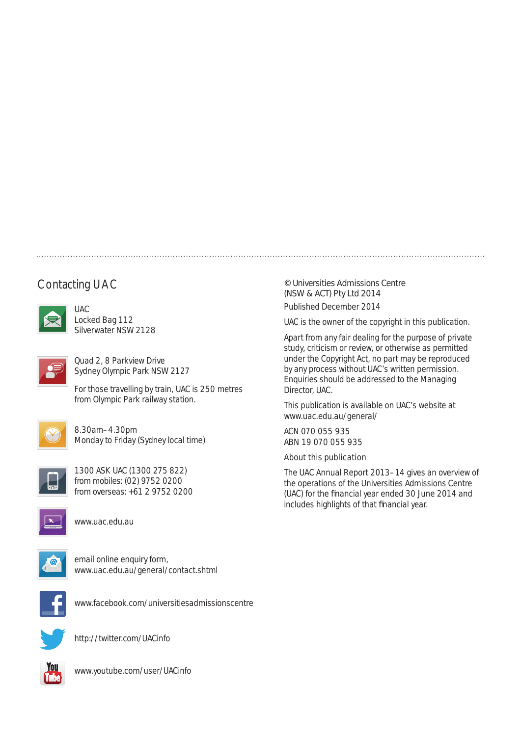# Contacting UAC



UAC Locked Bag 112 Silverwater NSW 2128



Quad 2, 8 Parkview Drive Sydney Olympic Park NSW 2127

For those travelling by train, UAC is 250 metres from Olympic Park railway station.



8.30am–4.30pm Monday to Friday (Sydney local time)



1300 ASK UAC (1300 275 822) from mobiles: (02) 9752 0200 from overseas: +61 2 9752 0200



www.uac.edu.au



email online enquiry form, www.uac.edu.au/general/contact.shtml



www.facebook.com/universitiesadmissionscentre



http://twitter.com/UACinfo



www.youtube.com/user/UACinfo

#### © Universities Admissions Centre (NSW & ACT) Pty Ltd 2014

Published December 2014

UAC is the owner of the copyright in this publication.

Apart from any fair dealing for the purpose of private study, criticism or review, or otherwise as permitted under the Copyright Act, no part may be reproduced by any process without UAC's written permission. Enquiries should be addressed to the Managing Director, UAC.

This publication is available on UAC's website at www.uac.edu.au/general/

ACN 070 055 935 ABN 19 070 055 935

#### About this publication

*The UAC Annual Report 2013–14* gives an overview of the operations of the Universities Admissions Centre (UAC) for the financial year ended 30 June 2014 and includes highlights of that financial year.